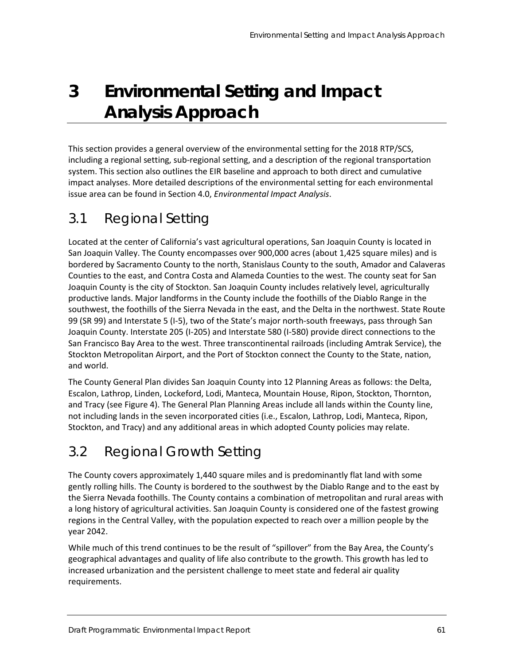# **3 Environmental Setting and Impact Analysis Approach**

This section provides a general overview of the environmental setting for the 2018 RTP/SCS, including a regional setting, sub-regional setting, and a description of the regional transportation system. This section also outlines the EIR baseline and approach to both direct and cumulative impact analyses. More detailed descriptions of the environmental setting for each environmental issue area can be found in Section 4.0, *Environmental Impact Analysis*.

# 3.1 Regional Setting

Located at the center of California's vast agricultural operations, San Joaquin County is located in San Joaquin Valley. The County encompasses over 900,000 acres (about 1,425 square miles) and is bordered by Sacramento County to the north, Stanislaus County to the south, Amador and Calaveras Counties to the east, and Contra Costa and Alameda Counties to the west. The county seat for San Joaquin County is the city of Stockton. San Joaquin County includes relatively level, agriculturally productive lands. Major landforms in the County include the foothills of the Diablo Range in the southwest, the foothills of the Sierra Nevada in the east, and the Delta in the northwest. State Route 99 (SR 99) and Interstate 5 (I-5), two of the State's major north-south freeways, pass through San Joaquin County. Interstate 205 (I-205) and Interstate 580 (I-580) provide direct connections to the San Francisco Bay Area to the west. Three transcontinental railroads (including Amtrak Service), the Stockton Metropolitan Airport, and the Port of Stockton connect the County to the State, nation, and world.

The County General Plan divides San Joaquin County into 12 Planning Areas as follows: the Delta, Escalon, Lathrop, Linden, Lockeford, Lodi, Manteca, Mountain House, Ripon, Stockton, Thornton, and Tracy (see [Figure 4\)](#page-1-0). The General Plan Planning Areas include all lands within the County line, not including lands in the seven incorporated cities (i.e., Escalon, Lathrop, Lodi, Manteca, Ripon, Stockton, and Tracy) and any additional areas in which adopted County policies may relate.

# 3.2 Regional Growth Setting

The County covers approximately 1,440 square miles and is predominantly flat land with some gently rolling hills. The County is bordered to the southwest by the Diablo Range and to the east by the Sierra Nevada foothills. The County contains a combination of metropolitan and rural areas with a long history of agricultural activities. San Joaquin County is considered one of the fastest growing regions in the Central Valley, with the population expected to reach over a million people by the year 2042.

While much of this trend continues to be the result of "spillover" from the Bay Area, the County's geographical advantages and quality of life also contribute to the growth. This growth has led to increased urbanization and the persistent challenge to meet state and federal air quality requirements.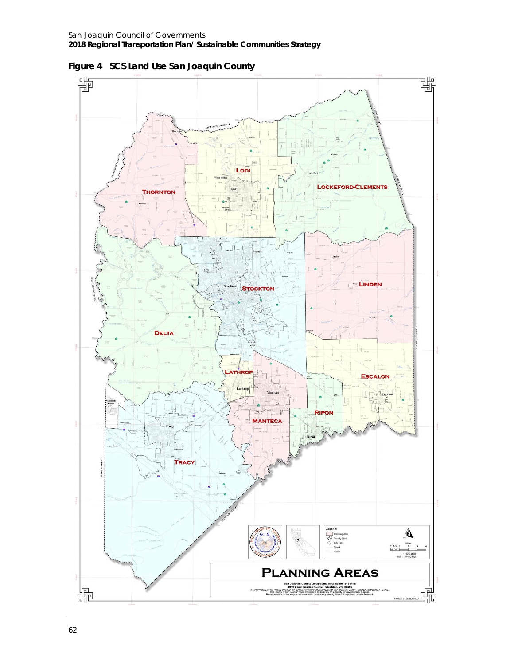

<span id="page-1-0"></span>**Figure 4 SCS Land Use San Joaquin County**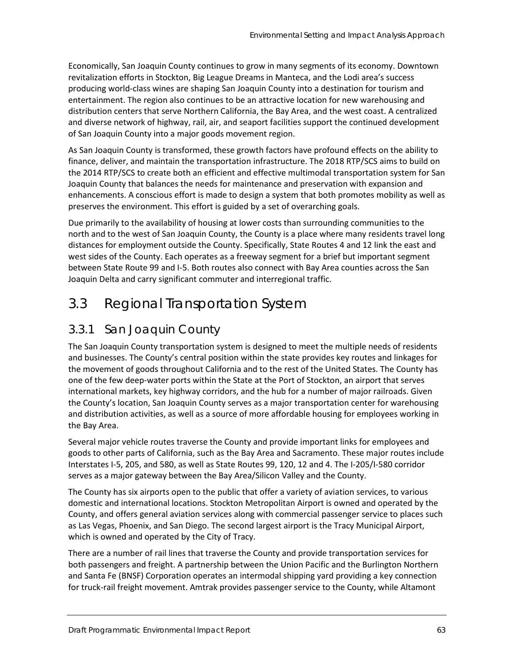Economically, San Joaquin County continues to grow in many segments of its economy. Downtown revitalization efforts in Stockton, Big League Dreams in Manteca, and the Lodi area's success producing world-class wines are shaping San Joaquin County into a destination for tourism and entertainment. The region also continues to be an attractive location for new warehousing and distribution centers that serve Northern California, the Bay Area, and the west coast. A centralized and diverse network of highway, rail, air, and seaport facilities support the continued development of San Joaquin County into a major goods movement region.

As San Joaquin County is transformed, these growth factors have profound effects on the ability to finance, deliver, and maintain the transportation infrastructure. The 2018 RTP/SCS aims to build on the 2014 RTP/SCS to create both an efficient and effective multimodal transportation system for San Joaquin County that balances the needs for maintenance and preservation with expansion and enhancements. A conscious effort is made to design a system that both promotes mobility as well as preserves the environment. This effort is guided by a set of overarching goals.

Due primarily to the availability of housing at lower costs than surrounding communities to the north and to the west of San Joaquin County, the County is a place where many residents travel long distances for employment outside the County. Specifically, State Routes 4 and 12 link the east and west sides of the County. Each operates as a freeway segment for a brief but important segment between State Route 99 and I-5. Both routes also connect with Bay Area counties across the San Joaquin Delta and carry significant commuter and interregional traffic.

# 3.3 Regional Transportation System

#### 3.3.1 San Joaquin County

The San Joaquin County transportation system is designed to meet the multiple needs of residents and businesses. The County's central position within the state provides key routes and linkages for the movement of goods throughout California and to the rest of the United States. The County has one of the few deep-water ports within the State at the Port of Stockton, an airport that serves international markets, key highway corridors, and the hub for a number of major railroads. Given the County's location, San Joaquin County serves as a major transportation center for warehousing and distribution activities, as well as a source of more affordable housing for employees working in the Bay Area.

Several major vehicle routes traverse the County and provide important links for employees and goods to other parts of California, such as the Bay Area and Sacramento. These major routes include Interstates I-5, 205, and 580, as well as State Routes 99, 120, 12 and 4. The I-205/I-580 corridor serves as a major gateway between the Bay Area/Silicon Valley and the County.

The County has six airports open to the public that offer a variety of aviation services, to various domestic and international locations. Stockton Metropolitan Airport is owned and operated by the County, and offers general aviation services along with commercial passenger service to places such as Las Vegas, Phoenix, and San Diego. The second largest airport is the Tracy Municipal Airport, which is owned and operated by the City of Tracy.

There are a number of rail lines that traverse the County and provide transportation services for both passengers and freight. A partnership between the Union Pacific and the Burlington Northern and Santa Fe (BNSF) Corporation operates an intermodal shipping yard providing a key connection for truck-rail freight movement. Amtrak provides passenger service to the County, while Altamont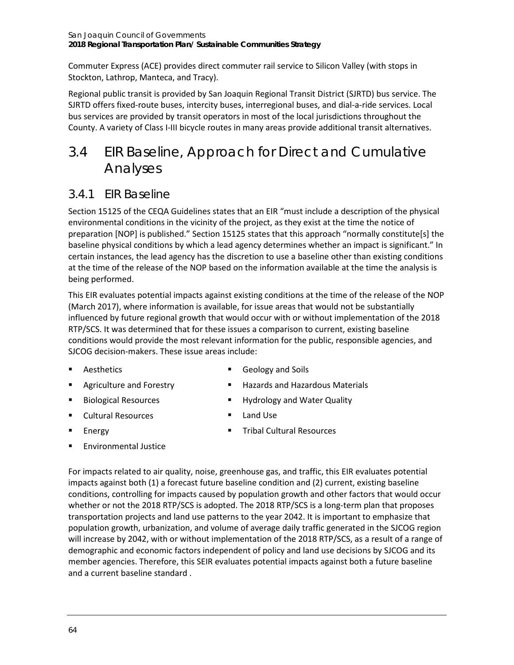Commuter Express (ACE) provides direct commuter rail service to Silicon Valley (with stops in Stockton, Lathrop, Manteca, and Tracy).

Regional public transit is provided by San Joaquin Regional Transit District (SJRTD) bus service. The SJRTD offers fixed-route buses, intercity buses, interregional buses, and dial-a-ride services. Local bus services are provided by transit operators in most of the local jurisdictions throughout the County. A variety of Class I-III bicycle routes in many areas provide additional transit alternatives.

## 3.4 EIR Baseline, Approach for Direct and Cumulative Analyses

#### 3.4.1 EIR Baseline

Section 15125 of the CEQA Guidelines states that an EIR "must include a description of the physical environmental conditions in the vicinity of the project, as they exist at the time the notice of preparation [NOP] is published." Section 15125 states that this approach "normally constitute[s] the baseline physical conditions by which a lead agency determines whether an impact is significant." In certain instances, the lead agency has the discretion to use a baseline other than existing conditions at the time of the release of the NOP based on the information available at the time the analysis is being performed.

This EIR evaluates potential impacts against existing conditions at the time of the release of the NOP (March 2017), where information is available, for issue areas that would not be substantially influenced by future regional growth that would occur with or without implementation of the 2018 RTP/SCS. It was determined that for these issues a comparison to current, existing baseline conditions would provide the most relevant information for the public, responsible agencies, and SJCOG decision-makers. These issue areas include:

**Aesthetics** 

- Geology and Soils
- Agriculture and Forestry
- **Biological Resources**
- **Cultural Resources**
- **Energy**
- 
- **Hazards and Hazardous Materials**
- **Hydrology and Water Quality**
- **Land Use**
- **Tribal Cultural Resources**
- Environmental Justice

For impacts related to air quality, noise, greenhouse gas, and traffic, this EIR evaluates potential impacts against both (1) a forecast future baseline condition and (2) current, existing baseline conditions, controlling for impacts caused by population growth and other factors that would occur whether or not the 2018 RTP/SCS is adopted. The 2018 RTP/SCS is a long-term plan that proposes transportation projects and land use patterns to the year 2042. It is important to emphasize that population growth, urbanization, and volume of average daily traffic generated in the SJCOG region will increase by 2042, with or without implementation of the 2018 RTP/SCS, as a result of a range of demographic and economic factors independent of policy and land use decisions by SJCOG and its member agencies. Therefore, this SEIR evaluates potential impacts against both a future baseline and a current baseline standard .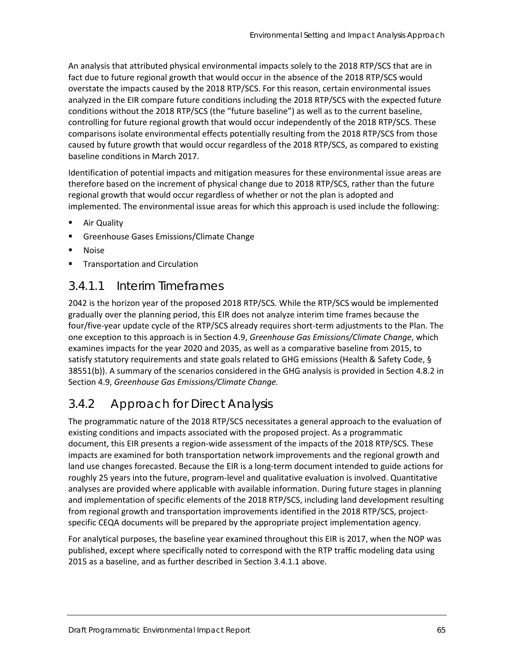An analysis that attributed physical environmental impacts solely to the 2018 RTP/SCS that are in fact due to future regional growth that would occur in the absence of the 2018 RTP/SCS would overstate the impacts caused by the 2018 RTP/SCS. For this reason, certain environmental issues analyzed in the EIR compare future conditions including the 2018 RTP/SCS with the expected future conditions without the 2018 RTP/SCS (the "future baseline") as well as to the current baseline, controlling for future regional growth that would occur independently of the 2018 RTP/SCS. These comparisons isolate environmental effects potentially resulting from the 2018 RTP/SCS from those caused by future growth that would occur regardless of the 2018 RTP/SCS, as compared to existing baseline conditions in March 2017.

Identification of potential impacts and mitigation measures for these environmental issue areas are therefore based on the increment of physical change due to 2018 RTP/SCS, rather than the future regional growth that would occur regardless of whether or not the plan is adopted and implemented. The environmental issue areas for which this approach is used include the following:

- Air Quality
- Greenhouse Gases Emissions/Climate Change
- Noise
- Transportation and Circulation

#### *3.4.1.1 Interim Timeframes*

2042 is the horizon year of the proposed 2018 RTP/SCS. While the RTP/SCS would be implemented gradually over the planning period, this EIR does not analyze interim time frames because the four/five-year update cycle of the RTP/SCS already requires short-term adjustments to the Plan. The one exception to this approach is in Section 4.9, *Greenhouse Gas Emissions/Climate Change*, which examines impacts for the year 2020 and 2035, as well as a comparative baseline from 2015, to satisfy statutory requirements and state goals related to GHG emissions (Health & Safety Code, § 38551(b)). A summary of the scenarios considered in the GHG analysis is provided in Section 4.8.2 in Section 4.9, *Greenhouse Gas Emissions/Climate Change.*

### 3.4.2 Approach for Direct Analysis

The programmatic nature of the 2018 RTP/SCS necessitates a general approach to the evaluation of existing conditions and impacts associated with the proposed project. As a programmatic document, this EIR presents a region-wide assessment of the impacts of the 2018 RTP/SCS. These impacts are examined for both transportation network improvements and the regional growth and land use changes forecasted. Because the EIR is a long-term document intended to guide actions for roughly 25 years into the future, program-level and qualitative evaluation is involved. Quantitative analyses are provided where applicable with available information. During future stages in planning and implementation of specific elements of the 2018 RTP/SCS, including land development resulting from regional growth and transportation improvements identified in the 2018 RTP/SCS, projectspecific CEQA documents will be prepared by the appropriate project implementation agency.

For analytical purposes, the baseline year examined throughout this EIR is 2017, when the NOP was published, except where specifically noted to correspond with the RTP traffic modeling data using 2015 as a baseline, and as further described in Section 3.4.1.1 above.